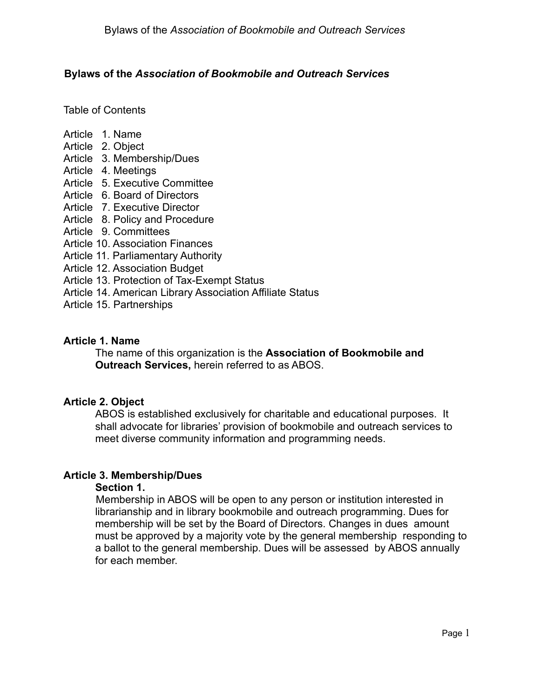### **Bylaws of the** *Association of Bookmobile and Outreach Services*

Table of Contents

- Article 1. Name
- Article 2. Object
- Article 3. Membership/Dues
- Article 4. Meetings
- Article 5. Executive Committee
- Article 6. Board of Directors
- Article 7. Executive Director
- Article 8. Policy and Procedure
- Article 9. Committees
- Article 10. Association Finances
- Article 11. Parliamentary Authority
- Article 12. Association Budget
- Article 13. Protection of Tax-Exempt Status
- Article 14. American Library Association Affiliate Status
- Article 15. Partnerships

### **Article 1. Name**

The name of this organization is the **Association of Bookmobile and Outreach Services,** herein referred to as ABOS.

#### **Article 2. Object**

ABOS is established exclusively for charitable and educational purposes. It shall advocate for libraries' provision of bookmobile and outreach services to meet diverse community information and programming needs.

# **Article 3. Membership/Dues**

#### **Section 1.**

Membership in ABOS will be open to any person or institution interested in librarianship and in library bookmobile and outreach programming. Dues for membership will be set by the Board of Directors. Changes in dues amount must be approved by a majority vote by the general membership responding to a ballot to the general membership. Dues will be assessed by ABOS annually for each member.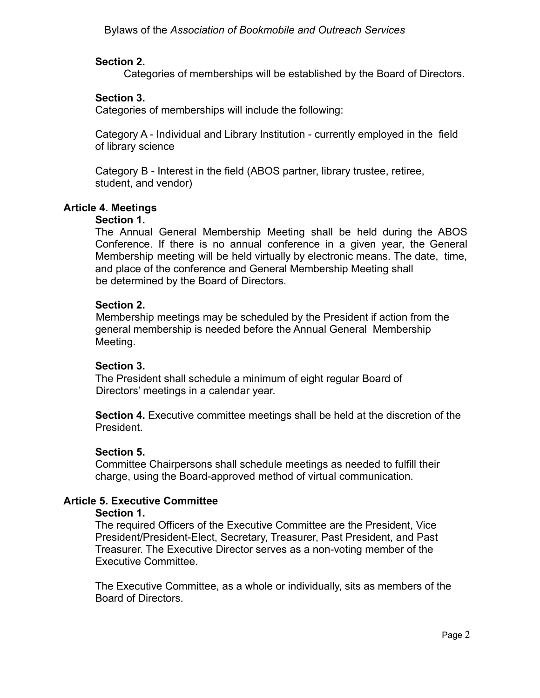# **Section 2.**

Categories of memberships will be established by the Board of Directors.

# **Section 3.**

Categories of memberships will include the following:

Category A - Individual and Library Institution - currently employed in the field of library science

Category B - Interest in the field (ABOS partner, library trustee, retiree, student, and vendor)

# **Article 4. Meetings**

### **Section 1.**

The Annual General Membership Meeting shall be held during the ABOS Conference. If there is no annual conference in a given year, the General Membership meeting will be held virtually by electronic means. The date, time, and place of the conference and General Membership Meeting shall be determined by the Board of Directors.

# **Section 2.**

Membership meetings may be scheduled by the President if action from the general membership is needed before the Annual General Membership Meeting.

# **Section 3.**

The President shall schedule a minimum of eight regular Board of Directors' meetings in a calendar year.

**Section 4.** Executive committee meetings shall be held at the discretion of the President.

# **Section 5.**

Committee Chairpersons shall schedule meetings as needed to fulfill their charge, using the Board-approved method of virtual communication.

# **Article 5. Executive Committee**

#### **Section 1.**

The required Officers of the Executive Committee are the President, Vice President/President-Elect, Secretary, Treasurer, Past President, and Past Treasurer. The Executive Director serves as a non-voting member of the Executive Committee.

The Executive Committee, as a whole or individually, sits as members of the Board of Directors.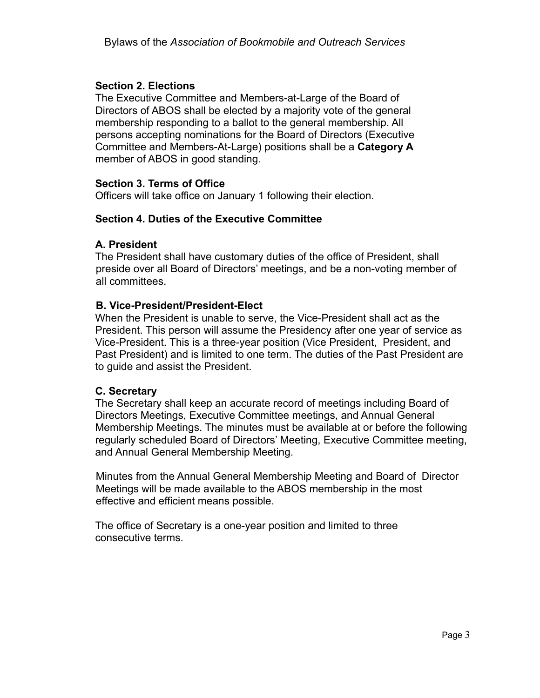# **Section 2. Elections**

The Executive Committee and Members-at-Large of the Board of Directors of ABOS shall be elected by a majority vote of the general membership responding to a ballot to the general membership. All persons accepting nominations for the Board of Directors (Executive Committee and Members-At-Large) positions shall be a **Category A** member of ABOS in good standing.

# **Section 3. Terms of Office**

Officers will take office on January 1 following their election.

### **Section 4. Duties of the Executive Committee**

### **A. President**

The President shall have customary duties of the office of President, shall preside over all Board of Directors' meetings, and be a non-voting member of all committees.

### **B. Vice-President/President-Elect**

When the President is unable to serve, the Vice-President shall act as the President. This person will assume the Presidency after one year of service as Vice-President. This is a three-year position (Vice President, President, and Past President) and is limited to one term. The duties of the Past President are to guide and assist the President.

# **C. Secretary**

The Secretary shall keep an accurate record of meetings including Board of Directors Meetings, Executive Committee meetings, and Annual General Membership Meetings. The minutes must be available at or before the following regularly scheduled Board of Directors' Meeting, Executive Committee meeting, and Annual General Membership Meeting.

Minutes from the Annual General Membership Meeting and Board of Director Meetings will be made available to the ABOS membership in the most effective and efficient means possible.

The office of Secretary is a one-year position and limited to three consecutive terms.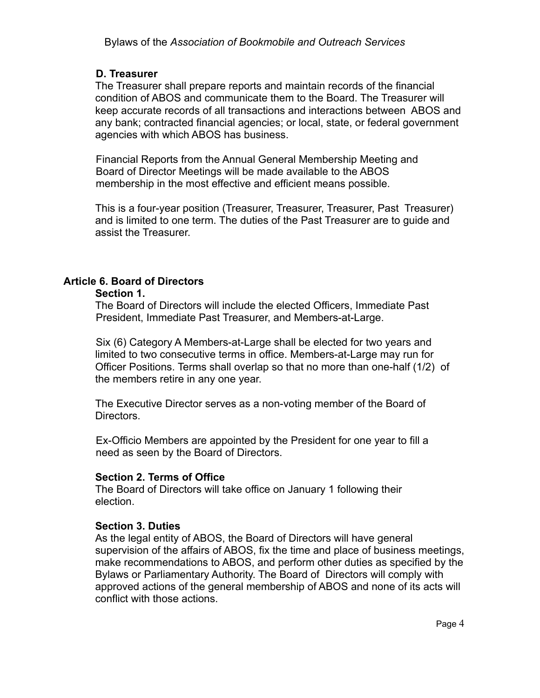# **D. Treasurer**

The Treasurer shall prepare reports and maintain records of the financial condition of ABOS and communicate them to the Board. The Treasurer will keep accurate records of all transactions and interactions between ABOS and any bank; contracted financial agencies; or local, state, or federal government agencies with which ABOS has business.

Financial Reports from the Annual General Membership Meeting and Board of Director Meetings will be made available to the ABOS membership in the most effective and efficient means possible.

This is a four-year position (Treasurer, Treasurer, Treasurer, Past Treasurer) and is limited to one term. The duties of the Past Treasurer are to guide and assist the Treasurer.

# **Article 6. Board of Directors**

#### **Section 1.**

The Board of Directors will include the elected Officers, Immediate Past President, Immediate Past Treasurer, and Members-at-Large.

Six (6) Category A Members-at-Large shall be elected for two years and limited to two consecutive terms in office. Members-at-Large may run for Officer Positions. Terms shall overlap so that no more than one-half (1/2) of the members retire in any one year.

The Executive Director serves as a non-voting member of the Board of Directors.

Ex-Officio Members are appointed by the President for one year to fill a need as seen by the Board of Directors.

# **Section 2. Terms of Office**

The Board of Directors will take office on January 1 following their election.

# **Section 3. Duties**

As the legal entity of ABOS, the Board of Directors will have general supervision of the affairs of ABOS, fix the time and place of business meetings, make recommendations to ABOS, and perform other duties as specified by the Bylaws or Parliamentary Authority. The Board of Directors will comply with approved actions of the general membership of ABOS and none of its acts will conflict with those actions.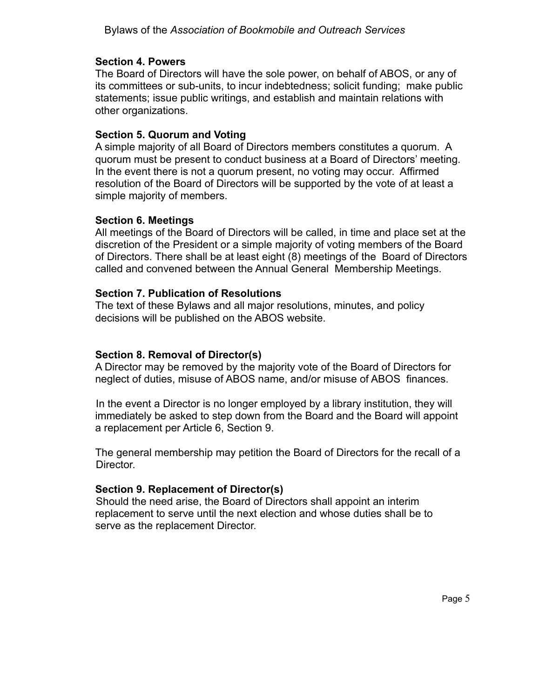# **Section 4. Powers**

The Board of Directors will have the sole power, on behalf of ABOS, or any of its committees or sub-units, to incur indebtedness; solicit funding; make public statements; issue public writings, and establish and maintain relations with other organizations.

# **Section 5. Quorum and Voting**

A simple majority of all Board of Directors members constitutes a quorum. A quorum must be present to conduct business at a Board of Directors' meeting. In the event there is not a quorum present, no voting may occur. Affirmed resolution of the Board of Directors will be supported by the vote of at least a simple majority of members.

# **Section 6. Meetings**

All meetings of the Board of Directors will be called, in time and place set at the discretion of the President or a simple majority of voting members of the Board of Directors. There shall be at least eight (8) meetings of the Board of Directors called and convened between the Annual General Membership Meetings.

# **Section 7. Publication of Resolutions**

The text of these Bylaws and all major resolutions, minutes, and policy decisions will be published on the ABOS website.

# **Section 8. Removal of Director(s)**

A Director may be removed by the majority vote of the Board of Directors for neglect of duties, misuse of ABOS name, and/or misuse of ABOS finances.

In the event a Director is no longer employed by a library institution, they will immediately be asked to step down from the Board and the Board will appoint a replacement per Article 6, Section 9.

The general membership may petition the Board of Directors for the recall of a Director.

# **Section 9. Replacement of Director(s)**

Should the need arise, the Board of Directors shall appoint an interim replacement to serve until the next election and whose duties shall be to serve as the replacement Director.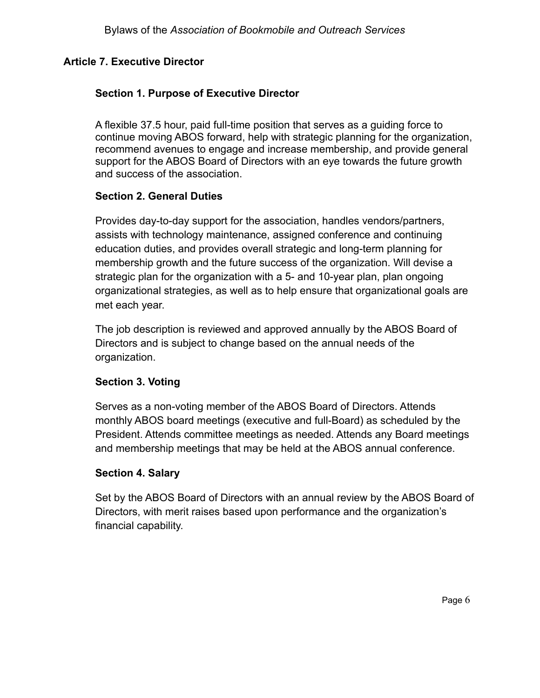# **Article 7. Executive Director**

# **Section 1. Purpose of Executive Director**

A flexible 37.5 hour, paid full-time position that serves as a guiding force to continue moving ABOS forward, help with strategic planning for the organization, recommend avenues to engage and increase membership, and provide general support for the ABOS Board of Directors with an eye towards the future growth and success of the association.

# **Section 2. General Duties**

Provides day-to-day support for the association, handles vendors/partners, assists with technology maintenance, assigned conference and continuing education duties, and provides overall strategic and long-term planning for membership growth and the future success of the organization. Will devise a strategic plan for the organization with a 5- and 10-year plan, plan ongoing organizational strategies, as well as to help ensure that organizational goals are met each year.

The job description is reviewed and approved annually by the ABOS Board of Directors and is subject to change based on the annual needs of the organization.

# **Section 3. Voting**

Serves as a non-voting member of the ABOS Board of Directors. Attends monthly ABOS board meetings (executive and full-Board) as scheduled by the President. Attends committee meetings as needed. Attends any Board meetings and membership meetings that may be held at the ABOS annual conference.

# **Section 4. Salary**

Set by the ABOS Board of Directors with an annual review by the ABOS Board of Directors, with merit raises based upon performance and the organization's financial capability.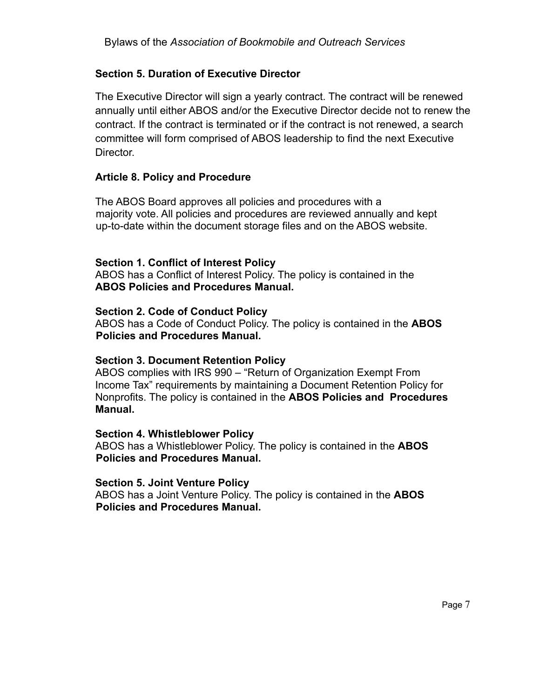# **Section 5. Duration of Executive Director**

The Executive Director will sign a yearly contract. The contract will be renewed annually until either ABOS and/or the Executive Director decide not to renew the contract. If the contract is terminated or if the contract is not renewed, a search committee will form comprised of ABOS leadership to find the next Executive **Director** 

# **Article 8. Policy and Procedure**

The ABOS Board approves all policies and procedures with a majority vote. All policies and procedures are reviewed annually and kept up-to-date within the document storage files and on the ABOS website.

# **Section 1. Conflict of Interest Policy**

ABOS has a Conflict of Interest Policy. The policy is contained in the **ABOS Policies and Procedures Manual.**

# **Section 2. Code of Conduct Policy**

ABOS has a Code of Conduct Policy. The policy is contained in the **ABOS Policies and Procedures Manual.**

# **Section 3. Document Retention Policy**

ABOS complies with IRS 990 – "Return of Organization Exempt From Income Tax" requirements by maintaining a Document Retention Policy for Nonprofits. The policy is contained in the **ABOS Policies and Procedures Manual.**

#### **Section 4. Whistleblower Policy**

ABOS has a Whistleblower Policy. The policy is contained in the **ABOS Policies and Procedures Manual.**

#### **Section 5. Joint Venture Policy**

ABOS has a Joint Venture Policy. The policy is contained in the **ABOS Policies and Procedures Manual.**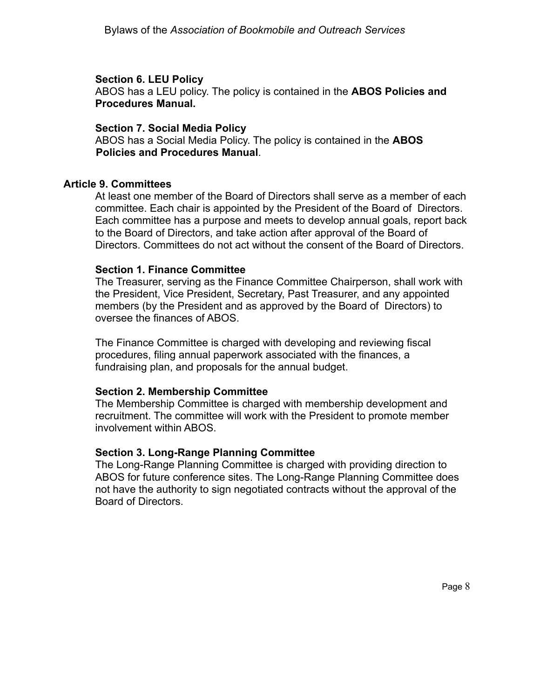### **Section 6. LEU Policy**

ABOS has a LEU policy. The policy is contained in the **ABOS Policies and Procedures Manual.**

### **Section 7. Social Media Policy**

ABOS has a Social Media Policy. The policy is contained in the **ABOS Policies and Procedures Manual**.

# **Article 9. Committees**

At least one member of the Board of Directors shall serve as a member of each committee. Each chair is appointed by the President of the Board of Directors. Each committee has a purpose and meets to develop annual goals, report back to the Board of Directors, and take action after approval of the Board of Directors. Committees do not act without the consent of the Board of Directors.

### **Section 1. Finance Committee**

The Treasurer, serving as the Finance Committee Chairperson, shall work with the President, Vice President, Secretary, Past Treasurer, and any appointed members (by the President and as approved by the Board of Directors) to oversee the finances of ABOS.

The Finance Committee is charged with developing and reviewing fiscal procedures, filing annual paperwork associated with the finances, a fundraising plan, and proposals for the annual budget.

# **Section 2. Membership Committee**

The Membership Committee is charged with membership development and recruitment. The committee will work with the President to promote member involvement within ABOS.

# **Section 3. Long-Range Planning Committee**

The Long-Range Planning Committee is charged with providing direction to ABOS for future conference sites. The Long-Range Planning Committee does not have the authority to sign negotiated contracts without the approval of the Board of Directors.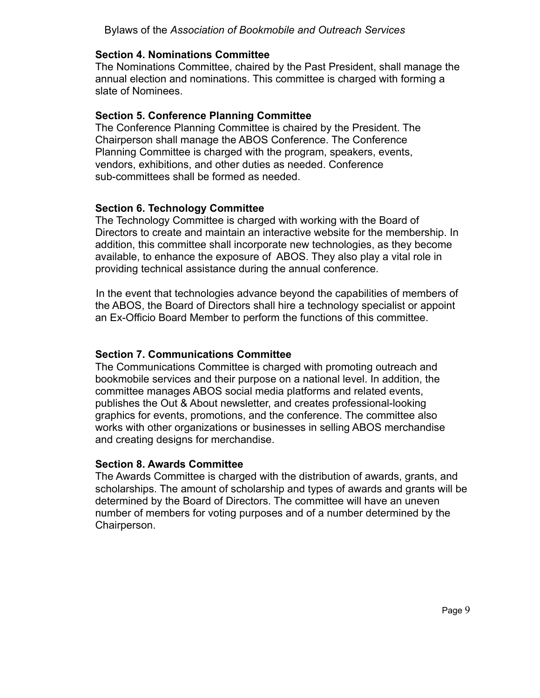### **Section 4. Nominations Committee**

The Nominations Committee, chaired by the Past President, shall manage the annual election and nominations. This committee is charged with forming a slate of Nominees.

### **Section 5. Conference Planning Committee**

The Conference Planning Committee is chaired by the President. The Chairperson shall manage the ABOS Conference. The Conference Planning Committee is charged with the program, speakers, events, vendors, exhibitions, and other duties as needed. Conference sub-committees shall be formed as needed.

# **Section 6. Technology Committee**

The Technology Committee is charged with working with the Board of Directors to create and maintain an interactive website for the membership. In addition, this committee shall incorporate new technologies, as they become available, to enhance the exposure of ABOS. They also play a vital role in providing technical assistance during the annual conference.

In the event that technologies advance beyond the capabilities of members of the ABOS, the Board of Directors shall hire a technology specialist or appoint an Ex-Officio Board Member to perform the functions of this committee.

### **Section 7. Communications Committee**

The Communications Committee is charged with promoting outreach and bookmobile services and their purpose on a national level. In addition, the committee manages ABOS social media platforms and related events, publishes the Out & About newsletter, and creates professional-looking graphics for events, promotions, and the conference. The committee also works with other organizations or businesses in selling ABOS merchandise and creating designs for merchandise.

#### **Section 8. Awards Committee**

The Awards Committee is charged with the distribution of awards, grants, and scholarships. The amount of scholarship and types of awards and grants will be determined by the Board of Directors. The committee will have an uneven number of members for voting purposes and of a number determined by the Chairperson.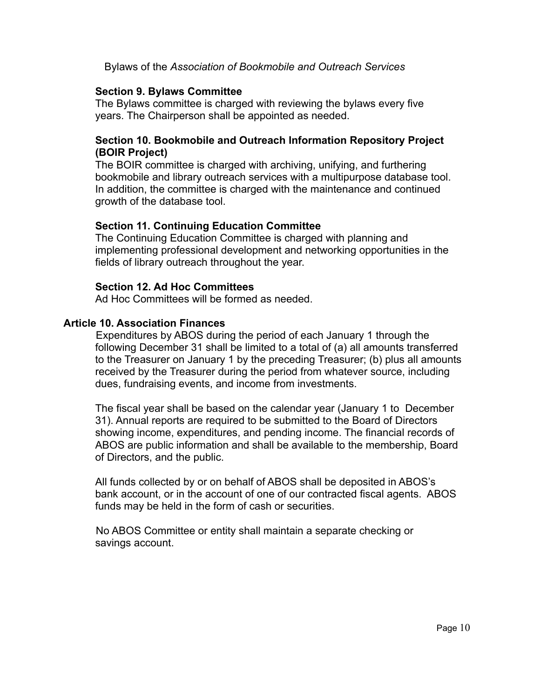Bylaws of the *Association of Bookmobile and Outreach Services*

### **Section 9. Bylaws Committee**

The Bylaws committee is charged with reviewing the bylaws every five years. The Chairperson shall be appointed as needed.

# **Section 10. Bookmobile and Outreach Information Repository Project (BOIR Project)**

The BOIR committee is charged with archiving, unifying, and furthering bookmobile and library outreach services with a multipurpose database tool. In addition, the committee is charged with the maintenance and continued growth of the database tool.

### **Section 11. Continuing Education Committee**

The Continuing Education Committee is charged with planning and implementing professional development and networking opportunities in the fields of library outreach throughout the year.

#### **Section 12. Ad Hoc Committees**

Ad Hoc Committees will be formed as needed.

### **Article 10. Association Finances**

Expenditures by ABOS during the period of each January 1 through the following December 31 shall be limited to a total of (a) all amounts transferred to the Treasurer on January 1 by the preceding Treasurer; (b) plus all amounts received by the Treasurer during the period from whatever source, including dues, fundraising events, and income from investments.

The fiscal year shall be based on the calendar year (January 1 to December 31). Annual reports are required to be submitted to the Board of Directors showing income, expenditures, and pending income. The financial records of ABOS are public information and shall be available to the membership, Board of Directors, and the public.

All funds collected by or on behalf of ABOS shall be deposited in ABOS's bank account, or in the account of one of our contracted fiscal agents. ABOS funds may be held in the form of cash or securities.

No ABOS Committee or entity shall maintain a separate checking or savings account.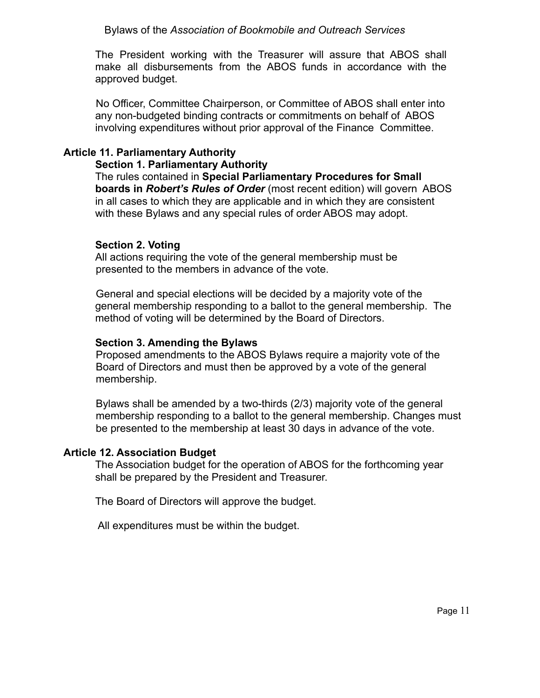The President working with the Treasurer will assure that ABOS shall make all disbursements from the ABOS funds in accordance with the approved budget.

No Officer, Committee Chairperson, or Committee of ABOS shall enter into any non-budgeted binding contracts or commitments on behalf of ABOS involving expenditures without prior approval of the Finance Committee.

# **Article 11. Parliamentary Authority**

### **Section 1. Parliamentary Authority**

The rules contained in **Special Parliamentary Procedures for Small boards in** *Robert's Rules of Order* (most recent edition) will govern ABOS in all cases to which they are applicable and in which they are consistent with these Bylaws and any special rules of order ABOS may adopt.

# **Section 2. Voting**

All actions requiring the vote of the general membership must be presented to the members in advance of the vote.

General and special elections will be decided by a majority vote of the general membership responding to a ballot to the general membership. The method of voting will be determined by the Board of Directors.

# **Section 3. Amending the Bylaws**

Proposed amendments to the ABOS Bylaws require a majority vote of the Board of Directors and must then be approved by a vote of the general membership.

Bylaws shall be amended by a two-thirds (2/3) majority vote of the general membership responding to a ballot to the general membership. Changes must be presented to the membership at least 30 days in advance of the vote.

# **Article 12. Association Budget**

The Association budget for the operation of ABOS for the forthcoming year shall be prepared by the President and Treasurer.

The Board of Directors will approve the budget.

All expenditures must be within the budget.